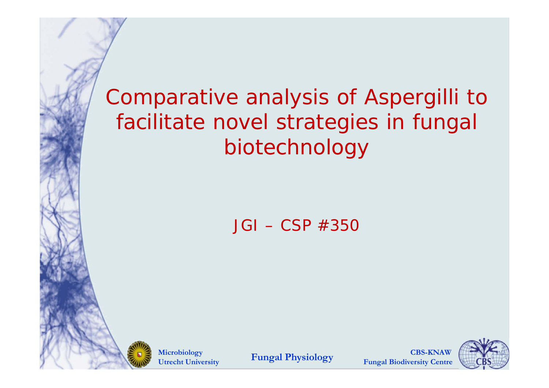#### Comparative analysis of Aspergilli to facilitate novel strategies in fungal biotechnology

JGI – CSP #350

**Fungal Physiology**<br> **Fungal Physiology**<br> **Fungal Biodiversity Centre** 

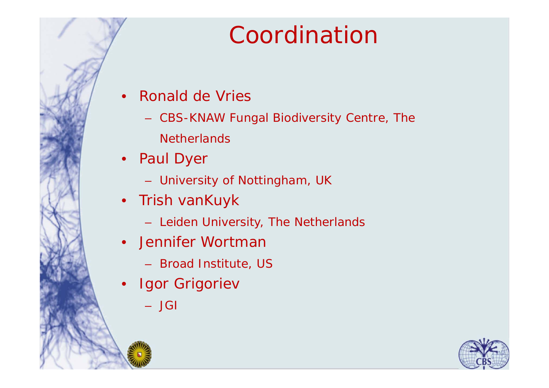## Coordination

- $\bullet$ • Ronald de Vries
	- CBS-KNAW Fungal Biodiversity Centre, The
		- Netherlands
- $\bullet$ • Paul Dyer
	- University of Nottingham, UK
- • Trish vanKuyk
	- Leiden University, The Netherlands
- Jennifer Wortmar
	- Broad Institute, US
- • Igor Grigoriev
	- JGI

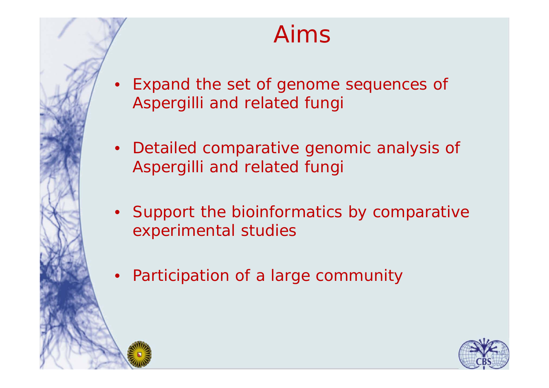#### Aims

- • Expand the set of genome sequences of Aspergilli and related fungi
- Detailed comparative genomic analysis of Aspergilli and related fungi
- Support the bioinformatics by comparative experimental studies
- •Participation of a large community

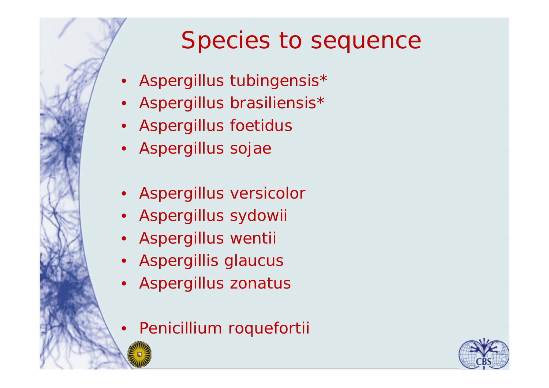### Species to sequence

- *Aspergillus tubingensis\**
- *Aspergillus brasiliensis \**
- *Aspergillus foetidus*
- *Aspergillus sojae*
- *Aspergillus versicolor*
- *Aspergillus sydowii*
- *Aspergillus wentii*
- *Aspergillis glaucus*
- *Aspergillus zonatus*
- *Penicillium roquefortii*

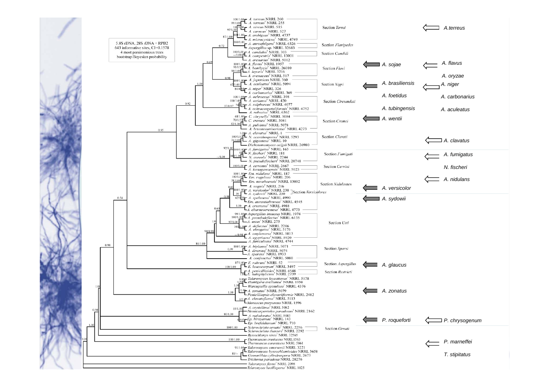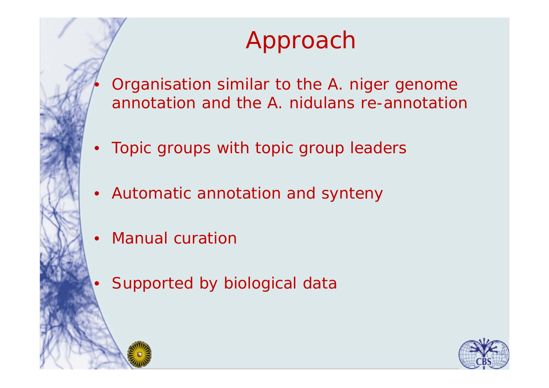### Approach

- Organisation similar to the *A. niger* genome annotation and the *A. nidulans* re-annotatior
- Topic groups with topic group leaders
- Automatic annotation and synteny
- •Manual curation

•

•

Supported by biological data

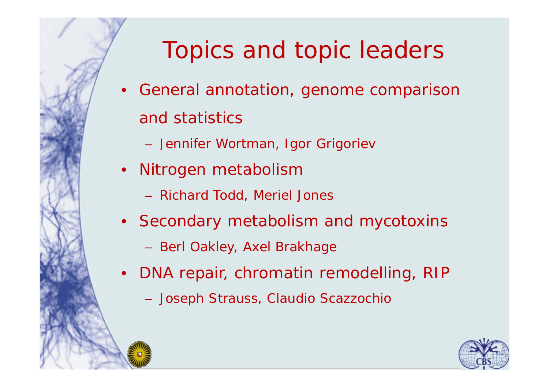

## Topics and topic leaders

- General annotation, genome comparison and statistics
	- Jennifer Wortman, Igor Grigoriev
- Nitrogen metabolism
	- Richard Todd, Meriel Jones
- Secondary metabolism and mycotoxins
	- Berl Oakley, Axel Brakhage
- DNA repair, chromatin remodelling, RIP
	- Joseph Strauss, Claudio Scazzochio

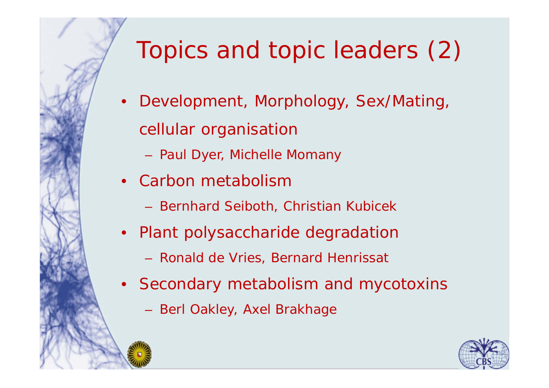# Topics and topic leaders (2)

- Development, Morphology, Sex/Mating, cellular organisation
	- Paul Dyer, Michelle Momany
- Carbon metabolism
	- Bernhard Seiboth, Christian Kubicek
- $\bullet$ Plant polysaccharide degradation
	- Ronald de Vries, Bernard Henrissat
- Secondary metabolism and mycotoxins
	- Berl Oakley, Axel Brakhage

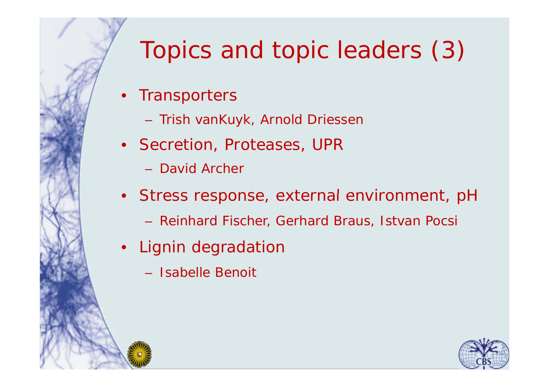# Topics and topic leaders (3)

- Transporters
	- Trish vanKuyk, Arnold Driesser
- Secretion, Proteases, UPR
	- David Archer
- Stress response, external environment, pH
	- Reinhard Fischer, Gerhard Braus, Istvan Pocsi
- Lignin degradatior
	- Isabelle Benoit

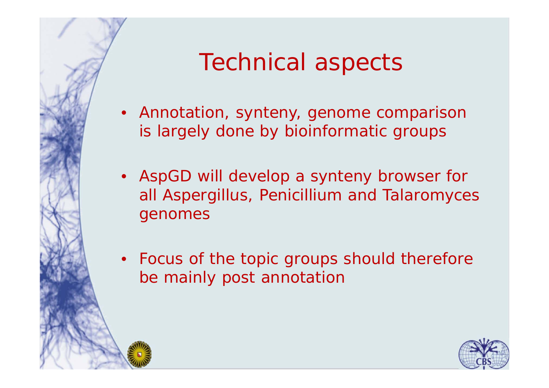### Technical aspects

- Annotation, synteny, genome comparison is largely done by bioinformatic groups
- AspGD will develop a synteny browser for all Aspergillus, Penicillium and Talaromyces genomes
- Focus of the topic groups should therefore be mainly post annotation

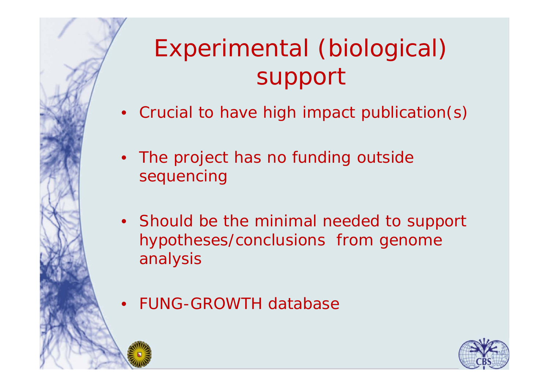## Experimental (biological) support

- Crucial to have high impact publication(s)
- The project has no funding outside sequencing
- Should be the minimal needed to support hypotheses/conclusions from genome analysis
- FUNG-GROWTH database

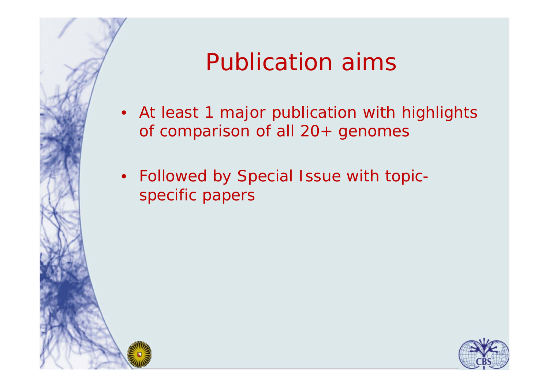### Publication aims

- At least 1 major publication with highlights of comparison of all 20+ genomes
- Followed by Special Issue with topicspecific papers